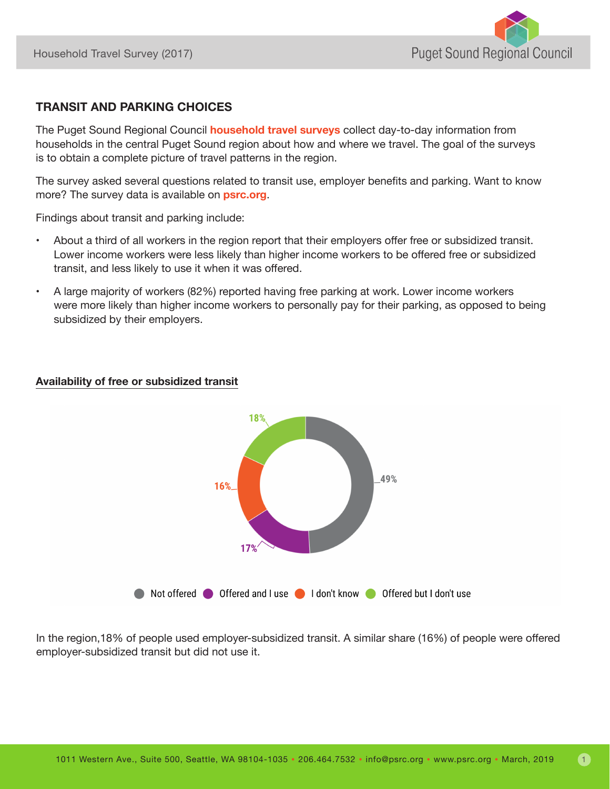

## **TRANSIT AND PARKING CHOICES**

The Puget Sound Regional Council **[household travel surveys](https://www.psrc.org/household-travel-survey-program)** collect day-to-day information from households in the central Puget Sound region about how and where we travel. The goal of the surveys is to obtain a complete picture of travel patterns in the region.

The survey asked several questions related to transit use, employer benefits and parking. Want to know more? The survey data is available on **[psrc.org](https://www.psrc.org/household-travel-survey-program)**.

Findings about transit and parking include:

- About a third of all workers in the region report that their employers offer free or subsidized transit. Lower income workers were less likely than higher income workers to be offered free or subsidized transit, and less likely to use it when it was offered.
- A large majority of workers (82%) reported having free parking at work. Lower income workers were more likely than higher income workers to personally pay for their parking, as opposed to being subsidized by their employers.

## **Availability of free or subsidized transit**



In the region,18% of people used employer-subsidized transit. A similar share (16%) of people were offered employer-subsidized transit but did not use it.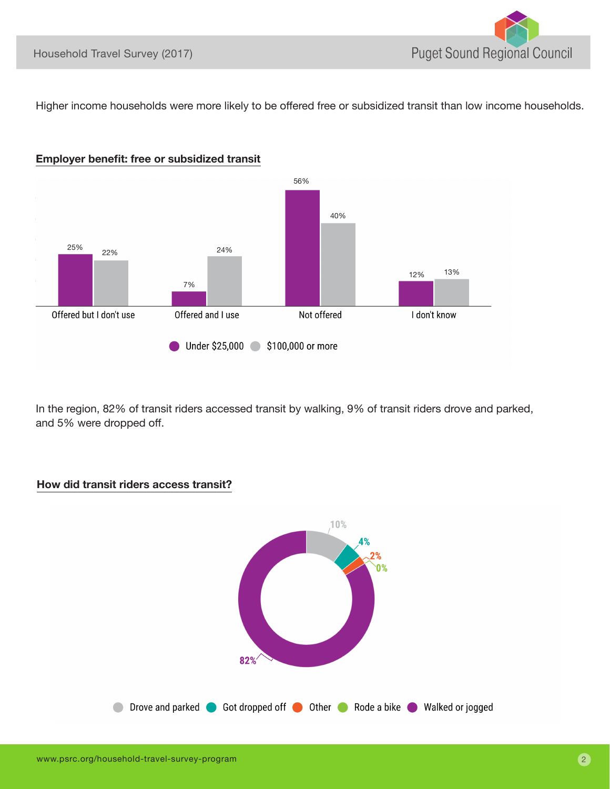Higher income households were more likely to be offered free or subsidized transit than low income households.



In the region, 82% of transit riders accessed transit by walking, 9% of transit riders drove and parked, and 5% were dropped off.



## **How did transit riders access transit?**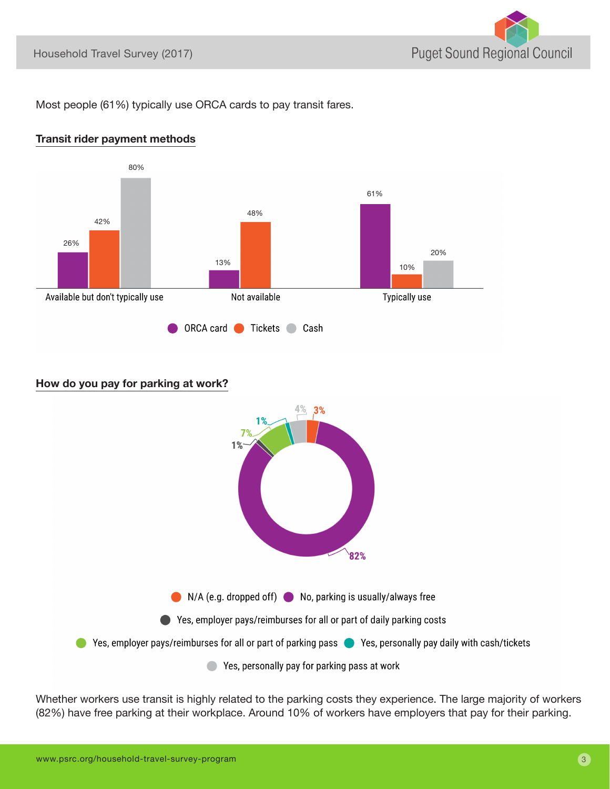

Most people (61%) typically use ORCA cards to pay transit fares.





## **How do you pay for parking at work?**



Whether workers use transit is highly related to the parking costs they experience. The large majority of workers (82%) have free parking at their workplace. Around 10% of workers have employers that pay for their parking.